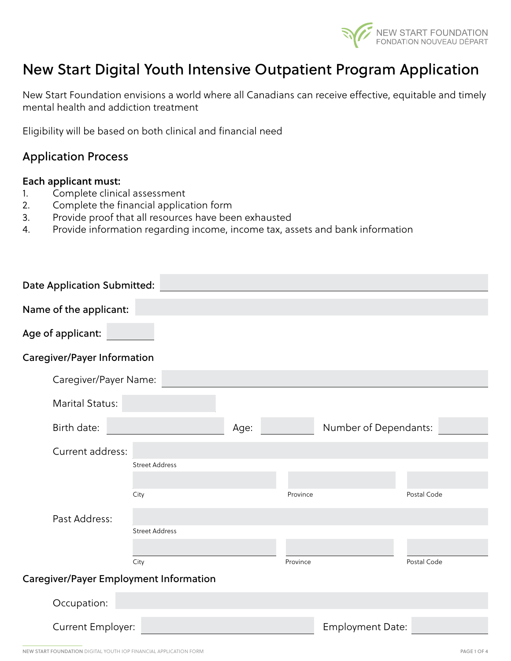

# New Start Digital Youth Intensive Outpatient Program Application

New Start Foundation envisions a world where all Canadians can receive effective, equitable and timely mental health and addiction treatment

Eligibility will be based on both clinical and financial need

#### Application Process

#### Each applicant must:

- 1. Complete clinical assessment
- 2. Complete the financial application form
- 3. Provide proof that all resources have been exhausted
- 4. Provide information regarding income, income tax, assets and bank information

| <b>Date Application Submitted:</b>            |                       |      |          |                         |             |
|-----------------------------------------------|-----------------------|------|----------|-------------------------|-------------|
| Name of the applicant:                        |                       |      |          |                         |             |
| Age of applicant:                             |                       |      |          |                         |             |
| <b>Caregiver/Payer Information</b>            |                       |      |          |                         |             |
| Caregiver/Payer Name:                         |                       |      |          |                         |             |
| Marital Status:                               |                       |      |          |                         |             |
| Birth date:                                   |                       | Age: |          | Number of Dependants:   |             |
| Current address:                              |                       |      |          |                         |             |
|                                               | <b>Street Address</b> |      |          |                         |             |
|                                               | City                  |      | Province |                         | Postal Code |
| Past Address:                                 |                       |      |          |                         |             |
|                                               | <b>Street Address</b> |      |          |                         |             |
|                                               |                       |      |          |                         |             |
|                                               | City                  |      | Province |                         | Postal Code |
| <b>Caregiver/Payer Employment Information</b> |                       |      |          |                         |             |
| Occupation:                                   |                       |      |          |                         |             |
| Current Employer:                             |                       |      |          | <b>Employment Date:</b> |             |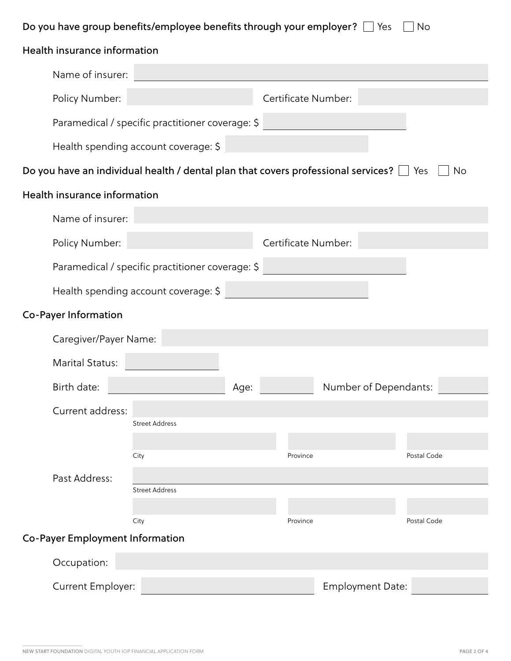| Do you have group benefits/employee benefits through your employer? $\Box$ Yes<br>No |                                                                                                    |      |                     |                         |             |
|--------------------------------------------------------------------------------------|----------------------------------------------------------------------------------------------------|------|---------------------|-------------------------|-------------|
| Health insurance information                                                         |                                                                                                    |      |                     |                         |             |
| Name of insurer:                                                                     |                                                                                                    |      |                     |                         |             |
| Policy Number:                                                                       |                                                                                                    |      | Certificate Number: |                         |             |
|                                                                                      | Paramedical / specific practitioner coverage: \$                                                   |      |                     |                         |             |
|                                                                                      | Health spending account coverage: \$                                                               |      |                     |                         |             |
|                                                                                      | Do you have an individual health / dental plan that covers professional services? $\Box$ Yes<br>No |      |                     |                         |             |
| Health insurance information                                                         |                                                                                                    |      |                     |                         |             |
| Name of insurer:                                                                     |                                                                                                    |      |                     |                         |             |
| Policy Number:                                                                       |                                                                                                    |      | Certificate Number: |                         |             |
|                                                                                      | Paramedical / specific practitioner coverage: \$                                                   |      |                     |                         |             |
|                                                                                      | Health spending account coverage: \$                                                               |      |                     |                         |             |
| <b>Co-Payer Information</b>                                                          |                                                                                                    |      |                     |                         |             |
| Caregiver/Payer Name:                                                                |                                                                                                    |      |                     |                         |             |
| Marital Status:                                                                      |                                                                                                    |      |                     |                         |             |
| Birth date:                                                                          |                                                                                                    | Age: |                     | Number of Dependants:   |             |
| Current address:                                                                     |                                                                                                    |      |                     |                         |             |
|                                                                                      | <b>Street Address</b>                                                                              |      |                     |                         |             |
|                                                                                      | City                                                                                               |      | Province            |                         | Postal Code |
| Past Address:                                                                        | <b>Street Address</b>                                                                              |      |                     |                         |             |
|                                                                                      |                                                                                                    |      |                     |                         |             |
|                                                                                      | City                                                                                               |      | Province            |                         | Postal Code |
| <b>Co-Payer Employment Information</b>                                               |                                                                                                    |      |                     |                         |             |
| Occupation:                                                                          |                                                                                                    |      |                     |                         |             |
| Current Employer:                                                                    |                                                                                                    |      |                     | <b>Employment Date:</b> |             |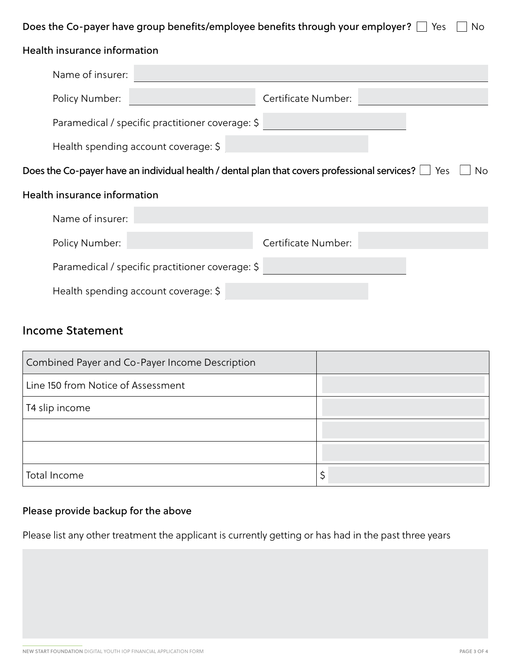## Does the Co-payer have group benefits/employee benefits through your employer?  $\Box$  Yes  $\Box$  No

| Health insurance information                                                                                  |                     |  |  |
|---------------------------------------------------------------------------------------------------------------|---------------------|--|--|
| Name of insurer:                                                                                              |                     |  |  |
| Policy Number:                                                                                                | Certificate Number: |  |  |
| Paramedical / specific practitioner coverage: \$                                                              |                     |  |  |
| Health spending account coverage: \$                                                                          |                     |  |  |
| Does the Co-payer have an individual health / dental plan that covers professional services? $\Box$ Yes<br>No |                     |  |  |
| Health insurance information                                                                                  |                     |  |  |
| Name of insurer:                                                                                              |                     |  |  |
| Policy Number:                                                                                                | Certificate Number: |  |  |
| Paramedical / specific practitioner coverage: \$                                                              |                     |  |  |
| Health spending account coverage: \$                                                                          |                     |  |  |

#### Income Statement

| Combined Payer and Co-Payer Income Description |    |
|------------------------------------------------|----|
| Line 150 from Notice of Assessment             |    |
| T4 slip income                                 |    |
|                                                |    |
|                                                |    |
| Total Income                                   | \$ |

## Please provide backup for the above

Please list any other treatment the applicant is currently getting or has had in the past three years